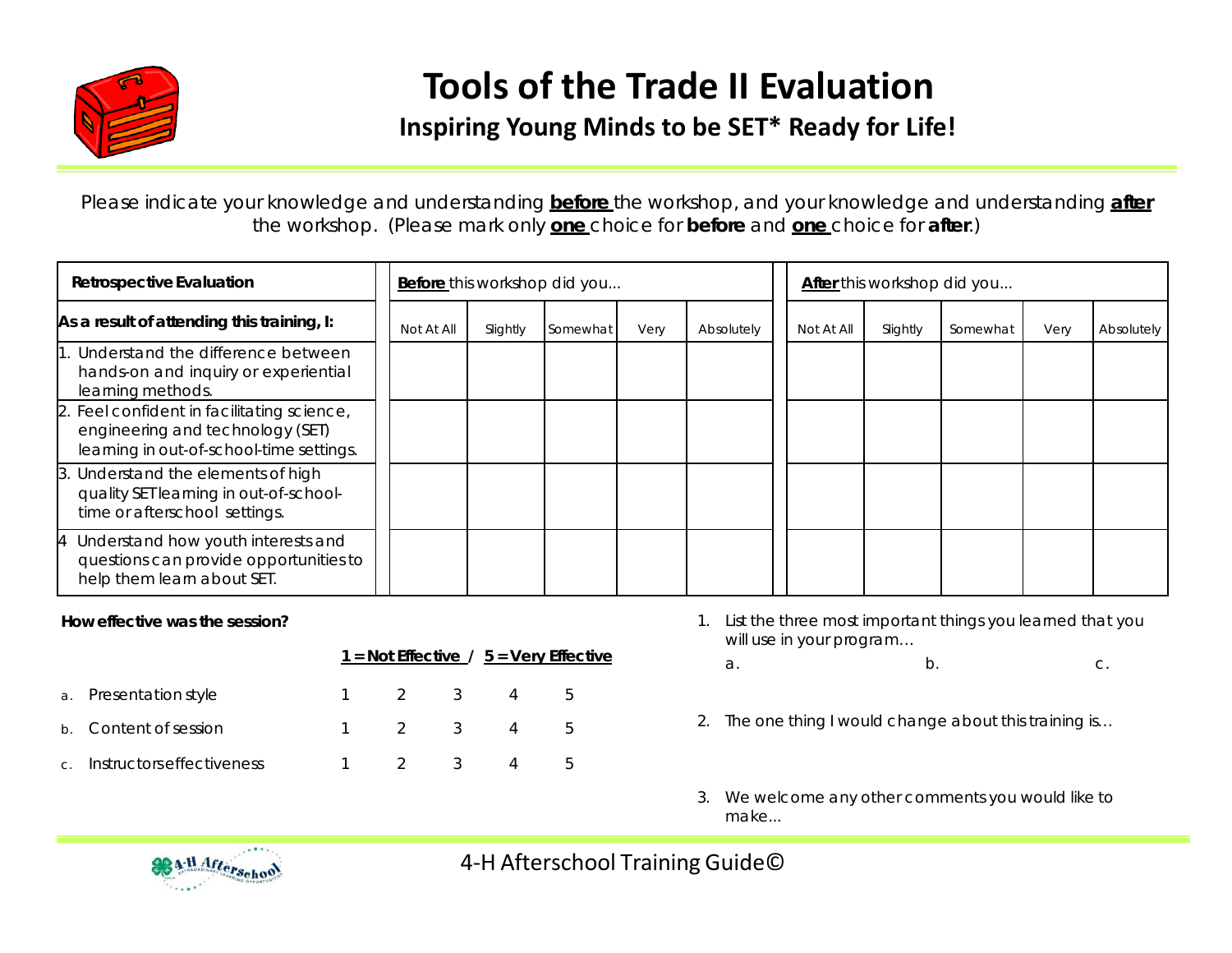

## **Tools of the Trade II Evaluation**

## **Inspiring Young Minds to be SET\* Ready for Life!**

Please indicate your knowledge and understanding **before** the workshop, and your knowledge and understanding **after** the workshop. *(Please mark only one choice for before and one choice for after.)*

| Retrospective Evaluation                                                                                                   | <b>Before</b> this workshop did you |          |          |      | <b>After</b> this workshop did you |            |          |          |      |            |
|----------------------------------------------------------------------------------------------------------------------------|-------------------------------------|----------|----------|------|------------------------------------|------------|----------|----------|------|------------|
| As a result of attending this training, I:                                                                                 | Not At All                          | Slightly | Somewhat | Very | Absolutely                         | Not At All | Slightly | Somewhat | Very | Absolutely |
| 1. Understand the difference between<br>hands-on and inquiry or experiential<br>learning methods.                          |                                     |          |          |      |                                    |            |          |          |      |            |
| 2. Feel confident in facilitating science,<br>engineering and technology (SET)<br>learning in out-of-school-time settings. |                                     |          |          |      |                                    |            |          |          |      |            |
| 3. Understand the elements of high<br>quality SET learning in out-of-school-<br>time or afterschool settings.              |                                     |          |          |      |                                    |            |          |          |      |            |
| 4 Understand how youth interests and<br>questions can provide opportunities to<br>help them learn about SET.               |                                     |          |          |      |                                    |            |          |          |      |            |

## **How effective was the session?**

|              |                           | $1 =$ Not Effective / $5 =$ Very Effective |     |  |  |          |  |  |
|--------------|---------------------------|--------------------------------------------|-----|--|--|----------|--|--|
|              | a. Presentation style     |                                            | 2 3 |  |  | <b>5</b> |  |  |
|              | b. Content of session     |                                            | 2 3 |  |  | <b>5</b> |  |  |
| $\mathsf{C}$ | Instructors effectiveness |                                            |     |  |  |          |  |  |

- 1. List the three most important things you learned that you will use in your program…
	- $a.$  b. c.
- 2. The one thing I would change about this training is…
- 3. We welcome any other comments you would like to make...



4-H Afterschool Training Guide©